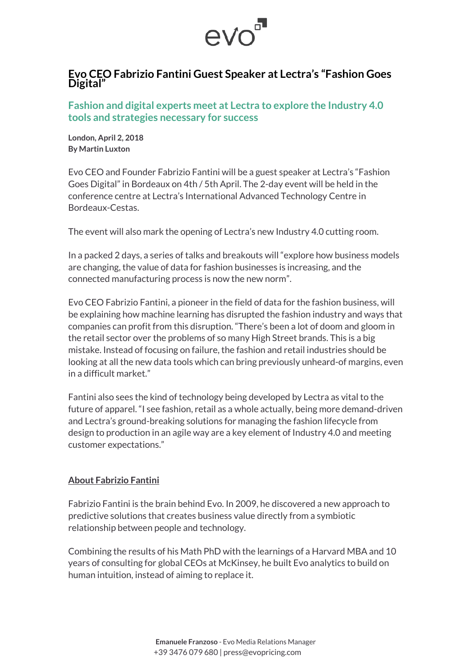

## **Evo CEO Fabrizio Fantini Guest Speaker at Lectra's "Fashion Goes Digital"**

**Fashion and digital experts meet at Lectra to explore the Industry 4.0 tools and strategies necessary for success**

**London, April 2, 2018 By Martin Luxton**

Evo CEO and Founder Fabrizio Fantini will be a guest speaker at Lectra's "Fashion Goes Digital" in Bordeaux on 4th / 5th April. The 2-day event will be held in the conference centre at Lectra's International Advanced Technology Centre in Bordeaux-Cestas.

The event will also mark the opening of Lectra's new Industry 4.0 cutting room.

In a packed 2 days, a series of talks and breakouts will "explore how business models are changing, the value of data for fashion businesses is increasing, and the connected manufacturing process is now the new norm".

Evo CEO Fabrizio Fantini, a pioneer in the field of data for the fashion business, will be explaining how machine learning has disrupted the fashion industry and ways that companies can profit from this disruption. "There's been a lot of doom and gloom in the retail sector over the problems of so many High Street brands. This is a big mistake. Instead of focusing on failure, the fashion and retail industries should be looking at all the new data tools which can bring previously unheard-of margins, even in a difficult market."

Fantini also sees the kind of technology being developed by Lectra as vital to the future of apparel. "I see fashion, retail as a whole actually, being more demand-driven and Lectra's ground-breaking solutions for managing the fashion lifecycle from design to production in an agile way are a key element of Industry 4.0 and meeting customer expectations."

## **About Fabrizio Fantini**

Fabrizio Fantini is the brain behind Evo. In 2009, he discovered a new approach to predictive solutions that creates business value directly from a symbiotic relationship between people and technology.

Combining the results of his Math PhD with the learnings of a Harvard MBA and 10 years of consulting for global CEOs at McKinsey, he built Evo analytics to build on human intuition, instead of aiming to replace it.